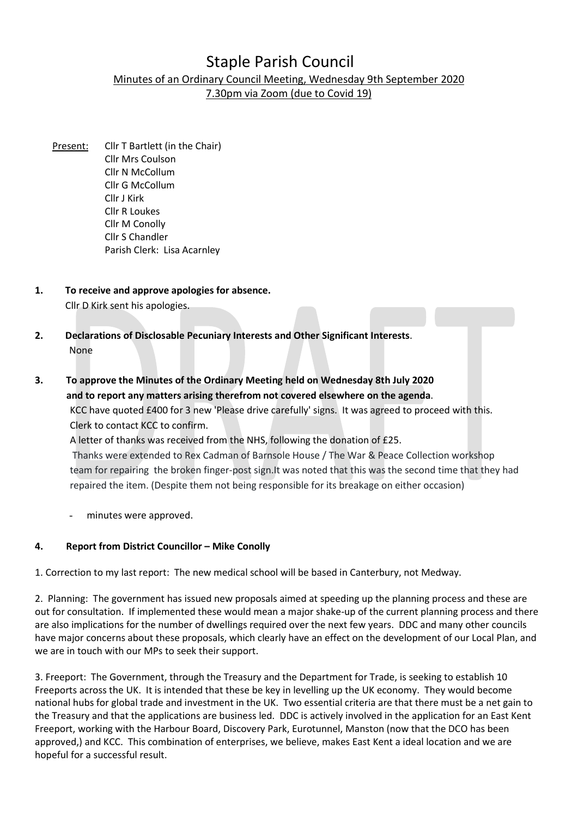# Staple Parish Council

# Minutes of an Ordinary Council Meeting, Wednesday 9th September 2020

7.30pm via Zoom (due to Covid 19)

- Present: Cllr T Bartlett (in the Chair) Cllr Mrs Coulson Cllr N McCollum Cllr G McCollum Cllr J Kirk Cllr R Loukes Cllr M Conolly Cllr S Chandler Parish Clerk: Lisa Acarnley
- 1. To receive and approve apologies for absence. Cllr D Kirk sent his apologies.
- 2. Declarations of Disclosable Pecuniary Interests and Other Significant Interests. None
- 3. To approve the Minutes of the Ordinary Meeting held on Wednesday 8th July 2020 and to report any matters arising therefrom not covered elsewhere on the agenda. KCC have quoted £400 for 3 new 'Please drive carefully' signs. It was agreed to proceed with this. Clerk to contact KCC to confirm.

 A letter of thanks was received from the NHS, following the donation of £25. Thanks were extended to Rex Cadman of Barnsole House / The War & Peace Collection workshop team for repairing the broken finger-post sign.It was noted that this was the second time that they had repaired the item. (Despite them not being responsible for its breakage on either occasion)

minutes were approved.

# 4. Report from District Councillor – Mike Conolly

1. Correction to my last report: The new medical school will be based in Canterbury, not Medway.

2. Planning: The government has issued new proposals aimed at speeding up the planning process and these are out for consultation. If implemented these would mean a major shake-up of the current planning process and there are also implications for the number of dwellings required over the next few years. DDC and many other councils have major concerns about these proposals, which clearly have an effect on the development of our Local Plan, and we are in touch with our MPs to seek their support.

3. Freeport: The Government, through the Treasury and the Department for Trade, is seeking to establish 10 Freeports across the UK. It is intended that these be key in levelling up the UK economy. They would become national hubs for global trade and investment in the UK. Two essential criteria are that there must be a net gain to the Treasury and that the applications are business led. DDC is actively involved in the application for an East Kent Freeport, working with the Harbour Board, Discovery Park, Eurotunnel, Manston (now that the DCO has been approved,) and KCC. This combination of enterprises, we believe, makes East Kent a ideal location and we are hopeful for a successful result.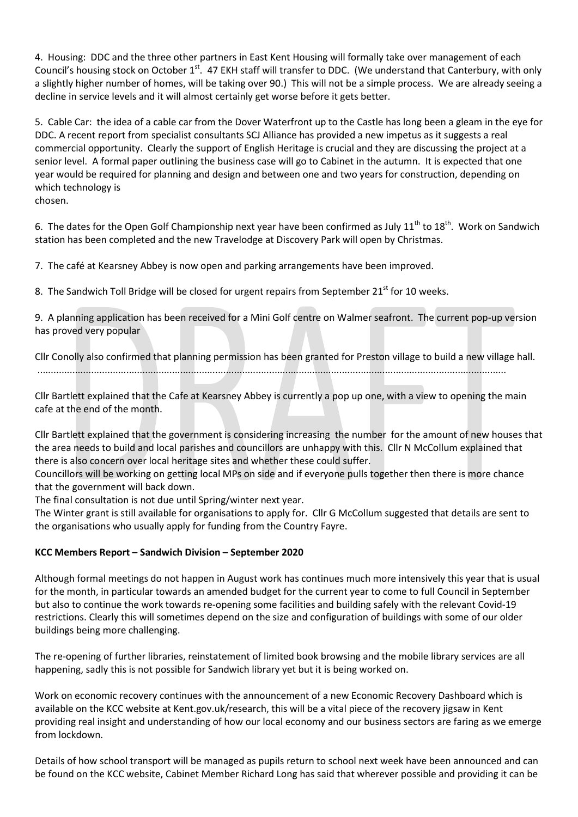4. Housing: DDC and the three other partners in East Kent Housing will formally take over management of each Council's housing stock on October 1<sup>st</sup>. 47 EKH staff will transfer to DDC. (We understand that Canterbury, with only a slightly higher number of homes, will be taking over 90.) This will not be a simple process. We are already seeing a decline in service levels and it will almost certainly get worse before it gets better.

5. Cable Car: the idea of a cable car from the Dover Waterfront up to the Castle has long been a gleam in the eye for DDC. A recent report from specialist consultants SCJ Alliance has provided a new impetus as it suggests a real commercial opportunity. Clearly the support of English Heritage is crucial and they are discussing the project at a senior level. A formal paper outlining the business case will go to Cabinet in the autumn. It is expected that one year would be required for planning and design and between one and two years for construction, depending on which technology is chosen.

6. The dates for the Open Golf Championship next year have been confirmed as July  $11^{th}$  to  $18^{th}$ . Work on Sandwich station has been completed and the new Travelodge at Discovery Park will open by Christmas.

7. The café at Kearsney Abbey is now open and parking arrangements have been improved.

8. The Sandwich Toll Bridge will be closed for urgent repairs from September  $21<sup>st</sup>$  for 10 weeks.

9. A planning application has been received for a Mini Golf centre on Walmer seafront. The current pop-up version has proved very popular

Cllr Conolly also confirmed that planning permission has been granted for Preston village to build a new village hall. ..............................................................................................................................................................................

Cllr Bartlett explained that the Cafe at Kearsney Abbey is currently a pop up one, with a view to opening the main cafe at the end of the month.

Cllr Bartlett explained that the government is considering increasing the number for the amount of new houses that the area needs to build and local parishes and councillors are unhappy with this. Cllr N McCollum explained that there is also concern over local heritage sites and whether these could suffer.

Councillors will be working on getting local MPs on side and if everyone pulls together then there is more chance that the government will back down.

The final consultation is not due until Spring/winter next year.

The Winter grant is still available for organisations to apply for. Cllr G McCollum suggested that details are sent to the organisations who usually apply for funding from the Country Fayre.

# KCC Members Report – Sandwich Division – September 2020

Although formal meetings do not happen in August work has continues much more intensively this year that is usual for the month, in particular towards an amended budget for the current year to come to full Council in September but also to continue the work towards re-opening some facilities and building safely with the relevant Covid-19 restrictions. Clearly this will sometimes depend on the size and configuration of buildings with some of our older buildings being more challenging.

The re-opening of further libraries, reinstatement of limited book browsing and the mobile library services are all happening, sadly this is not possible for Sandwich library yet but it is being worked on.

Work on economic recovery continues with the announcement of a new Economic Recovery Dashboard which is available on the KCC website at Kent.gov.uk/research, this will be a vital piece of the recovery jigsaw in Kent providing real insight and understanding of how our local economy and our business sectors are faring as we emerge from lockdown.

Details of how school transport will be managed as pupils return to school next week have been announced and can be found on the KCC website, Cabinet Member Richard Long has said that wherever possible and providing it can be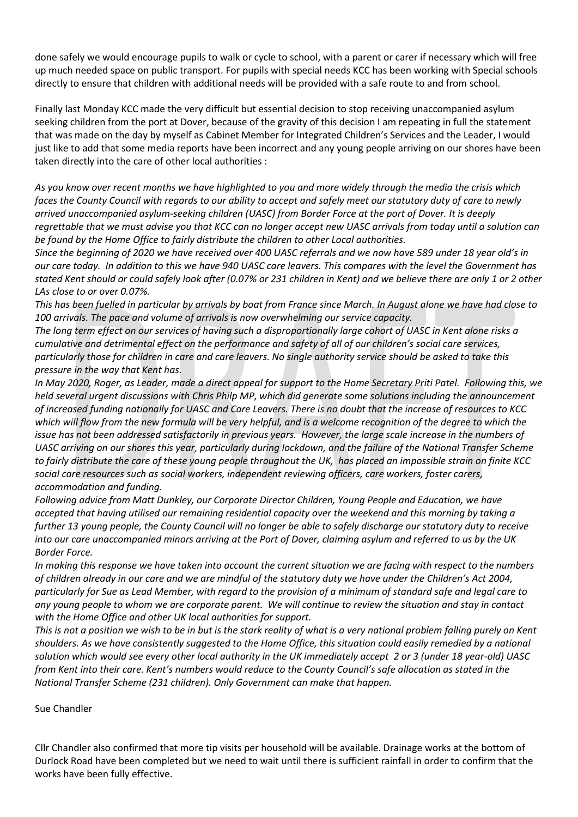done safely we would encourage pupils to walk or cycle to school, with a parent or carer if necessary which will free up much needed space on public transport. For pupils with special needs KCC has been working with Special schools directly to ensure that children with additional needs will be provided with a safe route to and from school.

Finally last Monday KCC made the very difficult but essential decision to stop receiving unaccompanied asylum seeking children from the port at Dover, because of the gravity of this decision I am repeating in full the statement that was made on the day by myself as Cabinet Member for Integrated Children's Services and the Leader, I would just like to add that some media reports have been incorrect and any young people arriving on our shores have been taken directly into the care of other local authorities :

As you know over recent months we have highlighted to you and more widely through the media the crisis which faces the County Council with regards to our ability to accept and safely meet our statutory duty of care to newly arrived unaccompanied asylum-seeking children (UASC) from Border Force at the port of Dover. It is deeply regrettable that we must advise you that KCC can no longer accept new UASC arrivals from today until a solution can be found by the Home Office to fairly distribute the children to other Local authorities.

Since the beginning of 2020 we have received over 400 UASC referrals and we now have 589 under 18 year old's in our care today. In addition to this we have 940 UASC care leavers. This compares with the level the Government has stated Kent should or could safely look after (0.07% or 231 children in Kent) and we believe there are only 1 or 2 other LAs close to or over 0.07%.

This has been fuelled in particular by arrivals by boat from France since March. In August alone we have had close to 100 arrivals. The pace and volume of arrivals is now overwhelming our service capacity.

The long term effect on our services of having such a disproportionally large cohort of UASC in Kent alone risks a cumulative and detrimental effect on the performance and safety of all of our children's social care services, particularly those for children in care and care leavers. No single authority service should be asked to take this pressure in the way that Kent has.

In May 2020, Roger, as Leader, made a direct appeal for support to the Home Secretary Priti Patel. Following this, we held several urgent discussions with Chris Philp MP, which did generate some solutions including the announcement of increased funding nationally for UASC and Care Leavers. There is no doubt that the increase of resources to KCC which will flow from the new formula will be very helpful, and is a welcome recognition of the degree to which the issue has not been addressed satisfactorily in previous years. However, the large scale increase in the numbers of UASC arriving on our shores this year, particularly during lockdown, and the failure of the National Transfer Scheme to fairly distribute the care of these young people throughout the UK, has placed an impossible strain on finite KCC social care resources such as social workers, independent reviewing officers, care workers, foster carers, accommodation and funding.

Following advice from Matt Dunkley, our Corporate Director Children, Young People and Education, we have accepted that having utilised our remaining residential capacity over the weekend and this morning by taking a further 13 young people, the County Council will no longer be able to safely discharge our statutory duty to receive into our care unaccompanied minors arriving at the Port of Dover, claiming asylum and referred to us by the UK Border Force.

In making this response we have taken into account the current situation we are facing with respect to the numbers of children already in our care and we are mindful of the statutory duty we have under the Children's Act 2004, particularly for Sue as Lead Member, with regard to the provision of a minimum of standard safe and legal care to any young people to whom we are corporate parent. We will continue to review the situation and stay in contact with the Home Office and other UK local authorities for support.

This is not a position we wish to be in but is the stark reality of what is a very national problem falling purely on Kent shoulders. As we have consistently suggested to the Home Office, this situation could easily remedied by a national solution which would see every other local authority in the UK immediately accept 2 or 3 (under 18 year-old) UASC from Kent into their care. Kent's numbers would reduce to the County Council's safe allocation as stated in the National Transfer Scheme (231 children). Only Government can make that happen.

Sue Chandler

Cllr Chandler also confirmed that more tip visits per household will be available. Drainage works at the bottom of Durlock Road have been completed but we need to wait until there is sufficient rainfall in order to confirm that the works have been fully effective.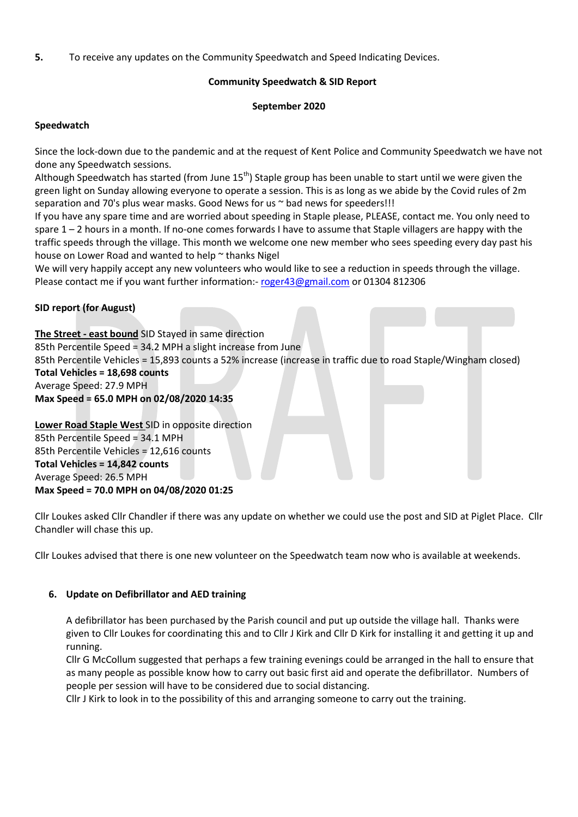5. To receive any updates on the Community Speedwatch and Speed Indicating Devices.

# Community Speedwatch & SID Report

## September 2020

# Speedwatch

Since the lock-down due to the pandemic and at the request of Kent Police and Community Speedwatch we have not done any Speedwatch sessions.

Although Speedwatch has started (from June 15<sup>th</sup>) Staple group has been unable to start until we were given the green light on Sunday allowing everyone to operate a session. This is as long as we abide by the Covid rules of 2m separation and 70's plus wear masks. Good News for us ~ bad news for speeders!!!

If you have any spare time and are worried about speeding in Staple please, PLEASE, contact me. You only need to spare 1 – 2 hours in a month. If no-one comes forwards I have to assume that Staple villagers are happy with the traffic speeds through the village. This month we welcome one new member who sees speeding every day past his house on Lower Road and wanted to help ~ thanks Nigel

We will very happily accept any new volunteers who would like to see a reduction in speeds through the village. Please contact me if you want further information:- roger43@gmail.com or 01304 812306

# SID report (for August)

The Street - east bound SID Stayed in same direction 85th Percentile Speed = 34.2 MPH a slight increase from June 85th Percentile Vehicles = 15,893 counts a 52% increase (increase in traffic due to road Staple/Wingham closed) Total Vehicles = 18,698 counts Average Speed: 27.9 MPH Max Speed = 65.0 MPH on 02/08/2020 14:35

Lower Road Staple West SID in opposite direction 85th Percentile Speed = 34.1 MPH 85th Percentile Vehicles = 12,616 counts Total Vehicles = 14,842 counts Average Speed: 26.5 MPH Max Speed = 70.0 MPH on 04/08/2020 01:25

Cllr Loukes asked Cllr Chandler if there was any update on whether we could use the post and SID at Piglet Place. Cllr Chandler will chase this up.

Cllr Loukes advised that there is one new volunteer on the Speedwatch team now who is available at weekends.

#### 6. Update on Defibrillator and AED training

A defibrillator has been purchased by the Parish council and put up outside the village hall. Thanks were given to Cllr Loukes for coordinating this and to Cllr J Kirk and Cllr D Kirk for installing it and getting it up and running.

Cllr G McCollum suggested that perhaps a few training evenings could be arranged in the hall to ensure that as many people as possible know how to carry out basic first aid and operate the defibrillator. Numbers of people per session will have to be considered due to social distancing.

Cllr J Kirk to look in to the possibility of this and arranging someone to carry out the training.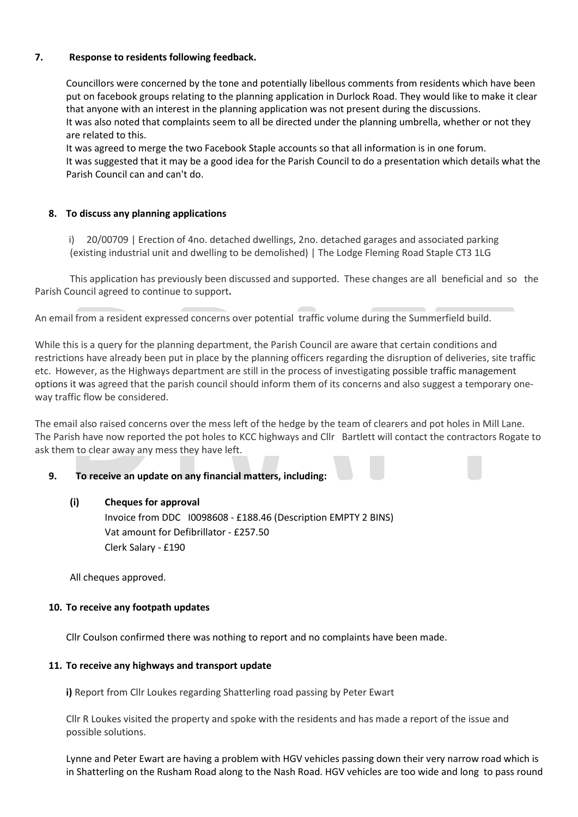# 7. Response to residents following feedback.

Councillors were concerned by the tone and potentially libellous comments from residents which have been put on facebook groups relating to the planning application in Durlock Road. They would like to make it clear that anyone with an interest in the planning application was not present during the discussions. It was also noted that complaints seem to all be directed under the planning umbrella, whether or not they are related to this.

It was agreed to merge the two Facebook Staple accounts so that all information is in one forum. It was suggested that it may be a good idea for the Parish Council to do a presentation which details what the Parish Council can and can't do.

# 8. To discuss any planning applications

 i) 20/00709 | Erection of 4no. detached dwellings, 2no. detached garages and associated parking (existing industrial unit and dwelling to be demolished) | The Lodge Fleming Road Staple CT3 1LG

This application has previously been discussed and supported. These changes are all beneficial and so the Parish Council agreed to continue to support.

An email from a resident expressed concerns over potential traffic volume during the Summerfield build.

While this is a query for the planning department, the Parish Council are aware that certain conditions and restrictions have already been put in place by the planning officers regarding the disruption of deliveries, site traffic etc. However, as the Highways department are still in the process of investigating possible traffic management options it was agreed that the parish council should inform them of its concerns and also suggest a temporary oneway traffic flow be considered.

The email also raised concerns over the mess left of the hedge by the team of clearers and pot holes in Mill Lane. The Parish have now reported the pot holes to KCC highways and Cllr Bartlett will contact the contractors Rogate to ask them to clear away any mess they have left.

#### 9. To receive an update on any financial matters, including:

#### (i) Cheques for approval

Invoice from DDC I0098608 - £188.46 (Description EMPTY 2 BINS) Vat amount for Defibrillator - £257.50 Clerk Salary - £190

All cheques approved.

#### 10. To receive any footpath updates

Cllr Coulson confirmed there was nothing to report and no complaints have been made.

#### 11. To receive any highways and transport update

i) Report from Cllr Loukes regarding Shatterling road passing by Peter Ewart

Cllr R Loukes visited the property and spoke with the residents and has made a report of the issue and possible solutions.

Lynne and Peter Ewart are having a problem with HGV vehicles passing down their very narrow road which is in Shatterling on the Rusham Road along to the Nash Road. HGV vehicles are too wide and long to pass round